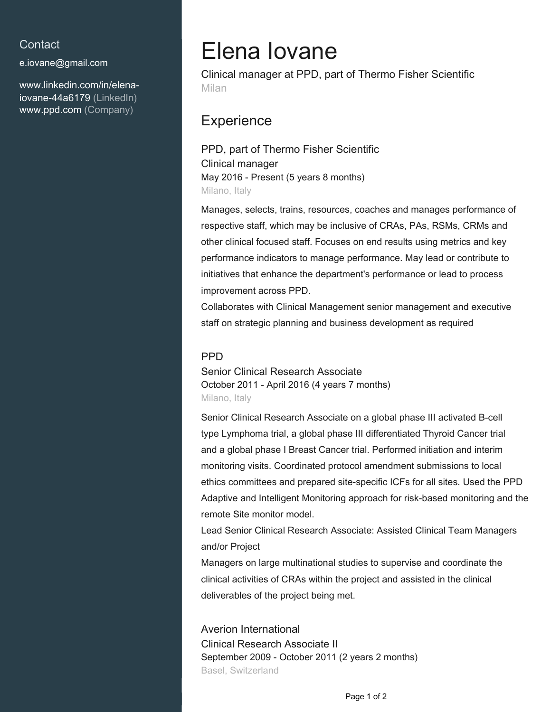#### **Contact**

[e.iovane@gmail.com](mailto:e.iovane@gmail.com)

[www.linkedin.com/in/elena](https://www.linkedin.com/in/elena-iovane-44a6179?jobid=1234&lipi=urn%3Ali%3Apage%3Ad_jobs_easyapply_pdfgenresume%3BMGBJpvbiQMqVFmRgXF3FSw%3D%3D&licu=urn%3Ali%3Acontrol%3Ad_jobs_easyapply_pdfgenresume-v02_profile)[iovane-44a6179 \(LinkedIn\)](https://www.linkedin.com/in/elena-iovane-44a6179?jobid=1234&lipi=urn%3Ali%3Apage%3Ad_jobs_easyapply_pdfgenresume%3BMGBJpvbiQMqVFmRgXF3FSw%3D%3D&licu=urn%3Ali%3Acontrol%3Ad_jobs_easyapply_pdfgenresume-v02_profile) [www.ppd.com \(Company\)](http://www.ppd.com)

# Elena Iovane

Clinical manager at PPD, part of Thermo Fisher Scientific Milan

### **Experience**

PPD, part of Thermo Fisher Scientific Clinical manager May 2016 - Present (5 years 8 months) Milano, Italy

Manages, selects, trains, resources, coaches and manages performance of respective staff, which may be inclusive of CRAs, PAs, RSMs, CRMs and other clinical focused staff. Focuses on end results using metrics and key performance indicators to manage performance. May lead or contribute to initiatives that enhance the department's performance or lead to process improvement across PPD.

Collaborates with Clinical Management senior management and executive staff on strategic planning and business development as required

#### **PPD**

Senior Clinical Research Associate October 2011 - April 2016 (4 years 7 months) Milano, Italy

Senior Clinical Research Associate on a global phase III activated B-cell type Lymphoma trial, a global phase III differentiated Thyroid Cancer trial and a global phase I Breast Cancer trial. Performed initiation and interim monitoring visits. Coordinated protocol amendment submissions to local ethics committees and prepared site-specific ICFs for all sites. Used the PPD Adaptive and Intelligent Monitoring approach for risk-based monitoring and the remote Site monitor model.

Lead Senior Clinical Research Associate: Assisted Clinical Team Managers and/or Project

Managers on large multinational studies to supervise and coordinate the clinical activities of CRAs within the project and assisted in the clinical deliverables of the project being met.

Averion International Clinical Research Associate II September 2009 - October 2011 (2 years 2 months) Basel, Switzerland